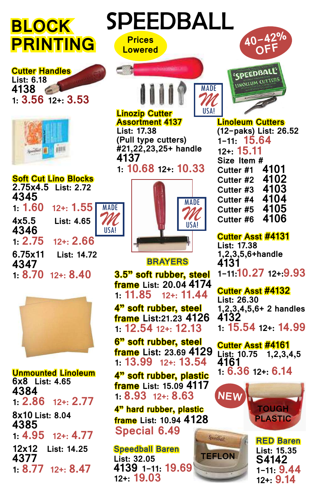# **BLOCK PRINTING**

**Cutter Handles List: 6.18 4138 1: 3.56 12+: 3.53**



#### **Soft Cut Lino Blocks 2.75x4.5 List: 2.72 4345 12+: 1.55 4x5.5 List: 4.65 4346 12+: 2.66 6.75x11 List: 14.72 4347 1: 8.70 12+: 8.40** MADE *M* USA!



**Unmounted Linoleum 6x8 List: 4.65 4384 1: 2.86 12+: 2.77 8x10 List: 8.04 4385**  $12 + 4.77$ **12x12 List: 14.25 4377 1: 8.77 12+: 8.47**





#### **Linozip Cutter Assortment 4137 List: 17.38**

**10-42%**<br>Lowered

**Prices**

**(Pull type cutters) #21,22,23,25+ handle 4137** 

**1: 10.68 12+: 10.33**



### **BRAYERS**

**3.5" soft rubber, steel frame List: 20.04 4174 1: 11.85 12+: 11.44**

**4" soft rubber, steel frame List:21.23 4126 1: 12.54 12+: 12.13**

**6" soft rubber, steel frame List: 23.69 4129 1: 13.99 12+: 13.54**

**4" soft rubber, plastic frame List: 15.09 4117 1: 8.93 12+: 8.63**

**4" hard rubber, plastic frame List: 10.94 4128 Special 6.49**

**Speedball Baren List: 32.05 4139 1-11: 19.69 12+: 19.03** 



**Lowered 40-42% OFF**

'SPEEDBALL' LINOLEUM CUTTERS

## **Cutter Asst #4131**

**List: 17.38 1,2,3,5,6+handle 4131 1-11:10.27 12+:9.93**

**Cutter Asst #4132**

**List: 26.30 1,2,3,4,5,6+ 2 handles 4132 1: 15.54 12+: 14.99**

**Cutter Asst #4161 List: 10.75 1,2,3,4,5 4161 1: 6.36 12+: 6.14**





**RED Baren List: 15.35 S4142 1-11: 9.44 12+: 9.14**